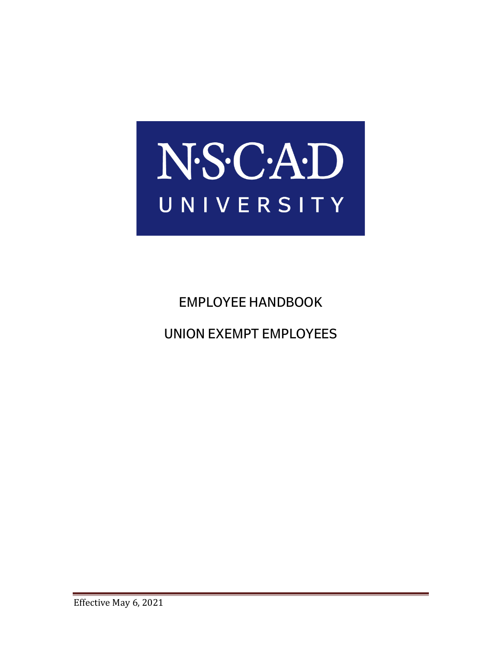

# EMPLOYEE HANDBOOK

UNION EXEMPT EMPLOYEES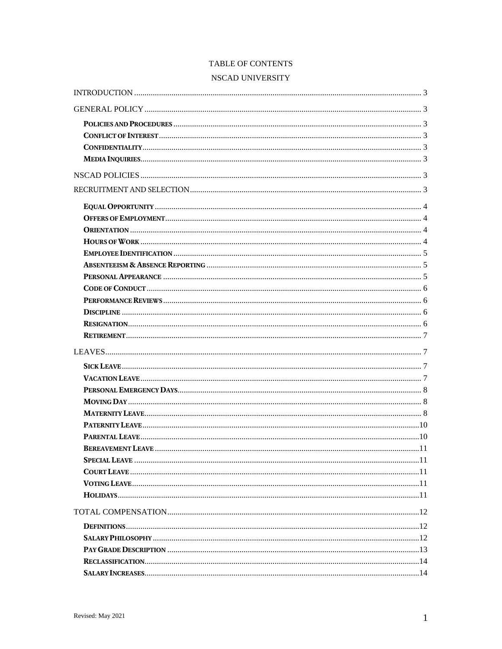## TABLE OF CONTENTS

## NSCAD UNIVERSITY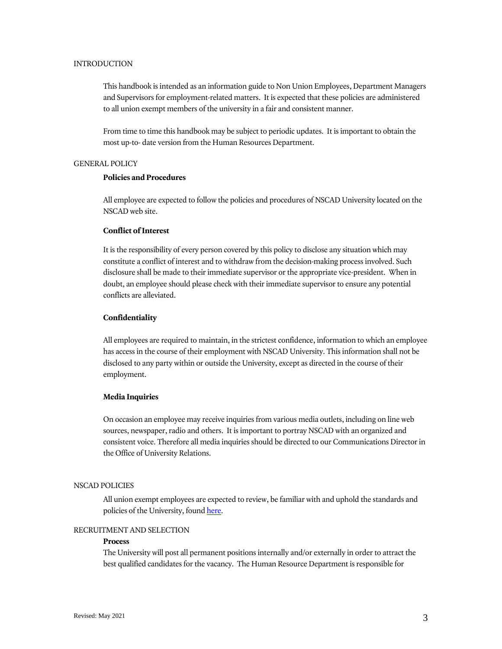## <span id="page-3-0"></span>INTRODUCTION

This handbook is intended as an information guide to Non Union Employees, Department Managers and Supervisors for employment-related matters. It is expected that these policies are administered to all union exempt members of the university in a fair and consistent manner.

From time to time this handbook may be subject to periodic updates. It is important to obtain the most up-to- date version from the Human Resources Department.

## <span id="page-3-1"></span>GENERAL POLICY

## <span id="page-3-2"></span>**Policies and Procedures**

All employee are expected to follow the policies and procedures of NSCAD University located on the NSCAD web site.

## <span id="page-3-3"></span>**Conflict of Interest**

It is the responsibility of every person covered by this policy to disclose any situation which may constitute a conflict of interest and to withdraw from the decision-making process involved. Such disclosure shall be made to their immediate supervisor or the appropriate vice-president. When in doubt, an employee should please check with their immediate supervisor to ensure any potential conflicts are alleviated.

#### <span id="page-3-4"></span>**Confidentiality**

All employees are required to maintain, in the strictest confidence, information to which an employee has access in the course of their employment with NSCAD University. This information shall not be disclosed to any party within or outside the University, except as directed in the course of their employment.

## <span id="page-3-5"></span>**Media Inquiries**

On occasion an employee may receive inquiries from various media outlets, including on line web sources, newspaper, radio and others. It is important to portray NSCAD with an organized and consistent voice. Therefore all media inquiries should be directed to our Communications Director in the Office of University Relations.

#### <span id="page-3-6"></span>NSCAD POLICIES

All union exempt employees are expected to review, be familiar with and uphold the standards and policies of the University, foun[d here.](https://navigator.nscad.ca/wordpress/home/academicsadministration/university-policies/)

## <span id="page-3-7"></span>RECRUITMENT AND SELECTION

#### **Process**

The University will post all permanent positions internally and/or externally in order to attract the best qualified candidates for the vacancy. The Human Resource Department is responsible for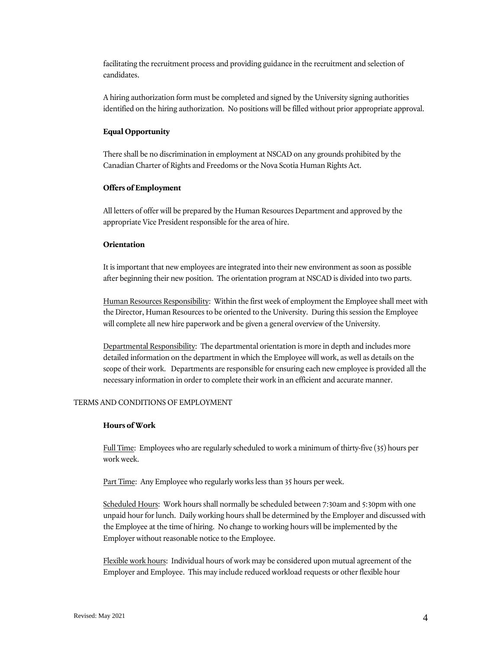facilitating the recruitment process and providing guidance in the recruitment and selection of candidates.

A hiring authorization form must be completed and signed by the University signing authorities identified on the hiring authorization. No positions will be filled without prior appropriate approval.

## <span id="page-4-0"></span>**Equal Opportunity**

There shall be no discrimination in employment at NSCAD on any grounds prohibited by the Canadian Charter of Rights and Freedoms or the Nova Scotia Human Rights Act.

#### <span id="page-4-1"></span>**Offers of Employment**

All letters of offer will be prepared by the Human Resources Department and approved by the appropriate Vice President responsible for the area of hire.

## <span id="page-4-2"></span>**Orientation**

It is important that new employees are integrated into their new environment as soon as possible after beginning their new position. The orientation program at NSCAD is divided into two parts.

Human Resources Responsibility: Within the first week of employment the Employee shall meet with the Director, Human Resources to be oriented to the University. During this session the Employee will complete all new hire paperwork and be given a general overview of the University.

Departmental Responsibility: The departmental orientation is more in depth and includes more detailed information on the department in which the Employee will work, as well as details on the scope of their work. Departments are responsible for ensuring each new employee is provided all the necessary information in order to complete their work in an efficient and accurate manner.

#### TERMS AND CONDITIONS OF EMPLOYMENT

#### <span id="page-4-3"></span>**Hours of Work**

Full Time: Employees who are regularly scheduled to work a minimum of thirty-five (35) hours per work week.

Part Time: Any Employee who regularly works less than 35 hours per week.

Scheduled Hours: Work hours shall normally be scheduled between 7:30am and 5:30pm with one unpaid hour for lunch. Daily working hours shall be determined by the Employer and discussed with the Employee at the time of hiring. No change to working hours will be implemented by the Employer without reasonable notice to the Employee.

Flexible work hours: Individual hours of work may be considered upon mutual agreement of the Employer and Employee. This may include reduced workload requests or other flexible hour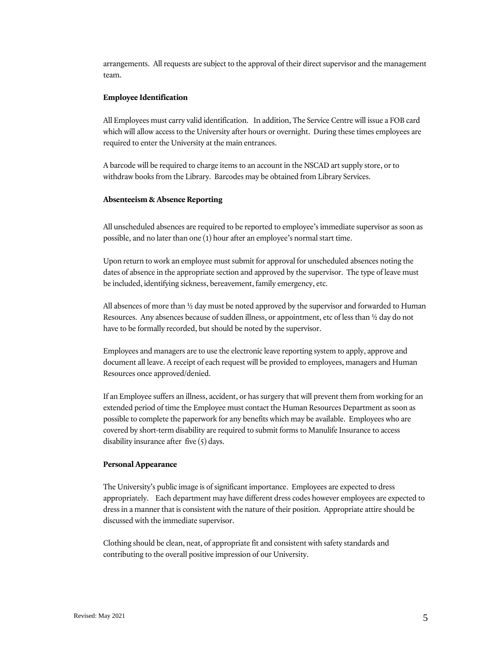arrangements. All requests are subject to the approval of their direct supervisor and the management team.

#### <span id="page-5-0"></span>**Employee Identification**

All Employees must carry valid identification. In addition, The Service Centre will issue a FOB card which will allow access to the University after hours or overnight. During these times employees are required to enter the University at the main entrances.

A barcode will be required to charge items to an account in the NSCAD art supply store, or to withdraw books from the Library. Barcodes may be obtained from Library Services.

## <span id="page-5-1"></span>**Absenteeism & Absence Reporting**

All unscheduled absences are required to be reported to employee's immediate supervisor as soon as possible, and no later than one (1) hour after an employee's normal start time.

Upon return to work an employee must submit for approval for unscheduled absences noting the dates of absence in the appropriate section and approved by the supervisor. The type of leave must be included, identifying sickness, bereavement, family emergency, etc.

All absences of more than ½ day must be noted approved by the supervisor and forwarded to Human Resources. Any absences because of sudden illness, or appointment, etc of less than ½ day do not have to be formally recorded, but should be noted by the supervisor.

Employees and managers are to use the electronic leave reporting system to apply, approve and document all leave. A receipt of each request will be provided to employees, managers and Human Resources once approved/denied.

If an Employee suffers an illness, accident, or has surgery that will prevent them from working for an extended period of time the Employee must contact the Human Resources Department as soon as possible to complete the paperwork for any benefits which may be available. Employees who are covered by short-term disability are required to submit forms to Manulife Insurance to access disability insurance after five (5) days.

#### <span id="page-5-2"></span>**Personal Appearance**

The University's public image is of significant importance. Employees are expected to dress appropriately. Each department may have different dress codes however employees are expected to dress in a manner that is consistent with the nature of their position. Appropriate attire should be discussed with the immediate supervisor.

<span id="page-5-3"></span>Clothing should be clean, neat, of appropriate fit and consistent with safety standards and contributing to the overall positive impression of our University.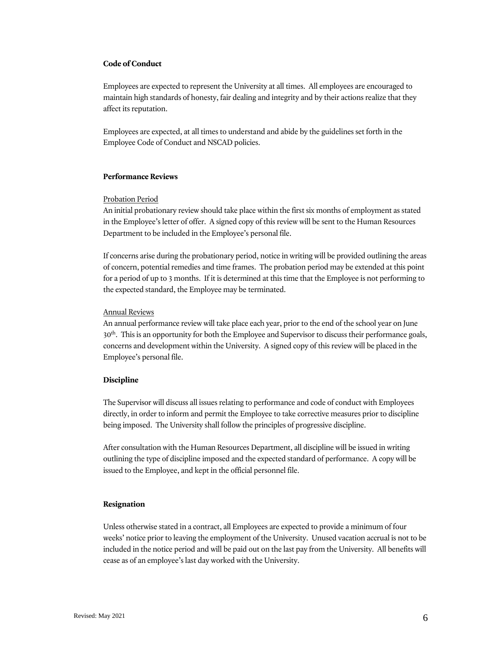## **Code of Conduct**

Employees are expected to represent the University at all times. All employees are encouraged to maintain high standards of honesty, fair dealing and integrity and by their actions realize that they affect its reputation.

Employees are expected, at all times to understand and abide by the guidelines set forth in the Employee Code of Conduct and NSCAD policies.

## <span id="page-6-0"></span>**Performance Reviews**

#### Probation Period

An initial probationary review should take place within the first six months of employment as stated in the Employee's letter of offer. A signed copy of this review will be sent to the Human Resources Department to be included in the Employee's personal file.

If concerns arise during the probationary period, notice in writing will be provided outlining the areas of concern, potential remedies and time frames. The probation period may be extended at this point for a period of up to 3 months. If it is determined at this time that the Employee is not performing to the expected standard, the Employee may be terminated.

## Annual Reviews

An annual performance review will take place each year, prior to the end of the school year on June 30th. This is an opportunity for both the Employee and Supervisor to discuss their performance goals, concerns and development within the University. A signed copy of this review will be placed in the Employee's personal file.

#### <span id="page-6-1"></span>**Discipline**

The Supervisor will discuss all issues relating to performance and code of conduct with Employees directly, in order to inform and permit the Employee to take corrective measures prior to discipline being imposed. The University shall follow the principles of progressive discipline.

After consultation with the Human Resources Department, all discipline will be issued in writing outlining the type of discipline imposed and the expected standard of performance. A copy will be issued to the Employee, and kept in the official personnel file.

## <span id="page-6-2"></span>**Resignation**

Unless otherwise stated in a contract, all Employees are expected to provide a minimum of four weeks' notice prior to leaving the employment of the University. Unused vacation accrual is not to be included in the notice period and will be paid out on the last pay from the University. All benefits will cease as of an employee's last day worked with the University.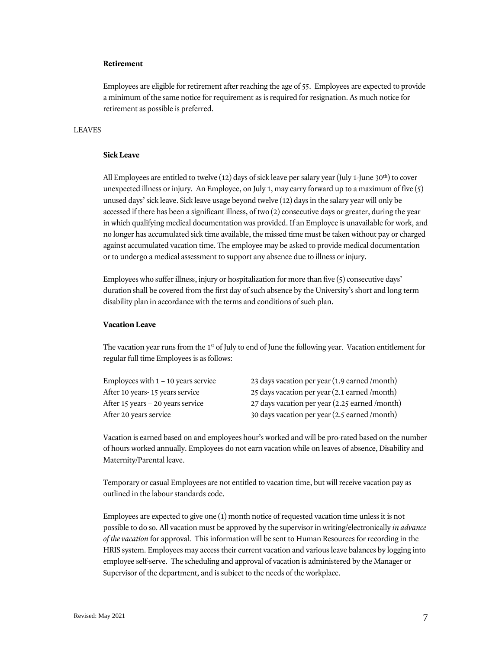## <span id="page-7-0"></span>**Retirement**

Employees are eligible for retirement after reaching the age of 55. Employees are expected to provide a minimum of the same notice for requirement as is required for resignation. As much notice for retirement as possible is preferred.

## <span id="page-7-1"></span>LEAVES

#### <span id="page-7-2"></span>**Sick Leave**

All Employees are entitled to twelve (12) days of sick leave per salary year (July 1-June 30<sup>th</sup>) to cover unexpected illness or injury. An Employee, on July 1, may carry forward up to a maximum of five (5) unused days' sick leave. Sick leave usage beyond twelve (12) days in the salary year will only be accessed if there has been a significant illness, of two (2) consecutive days or greater, during the year in which qualifying medical documentation was provided. If an Employee is unavailable for work, and no longer has accumulated sick time available, the missed time must be taken without pay or charged against accumulated vacation time. The employee may be asked to provide medical documentation or to undergo a medical assessment to support any absence due to illness or injury.

Employees who suffer illness, injury or hospitalization for more than five (5) consecutive days' duration shall be covered from the first day of such absence by the University's short and long term disability plan in accordance with the terms and conditions of such plan.

#### <span id="page-7-3"></span>**Vacation Leave**

The vacation year runs from the  $1<sup>st</sup>$  of July to end of June the following year. Vacation entitlement for regular full time Employees is as follows:

| Employees with $1 - 10$ years service | 23 days vacation per year $(1.9$ earned /month) |
|---------------------------------------|-------------------------------------------------|
| After 10 years-15 years service       | 25 days vacation per year (2.1 earned /month)   |
| After 15 years – 20 years service     | 27 days vacation per year (2.25 earned /month)  |
| After 20 years service                | 30 days vacation per year (2.5 earned /month)   |
|                                       |                                                 |

Vacation is earned based on and employees hour's worked and will be pro-rated based on the number of hours worked annually. Employees do not earn vacation while on leaves of absence, Disability and Maternity/Parental leave.

Temporary or casual Employees are not entitled to vacation time, but will receive vacation pay as outlined in the labour standards code.

Employees are expected to give one (1) month notice of requested vacation time unless it is not possible to do so. All vacation must be approved by the supervisor in writing/electronically *in advance of the vacation* for approval. This information will be sent to Human Resources for recording in the HRIS system. Employees may access their current vacation and various leave balances by logging into employee self-serve. The scheduling and approval of vacation is administered by the Manager or Supervisor of the department, and is subject to the needs of the workplace.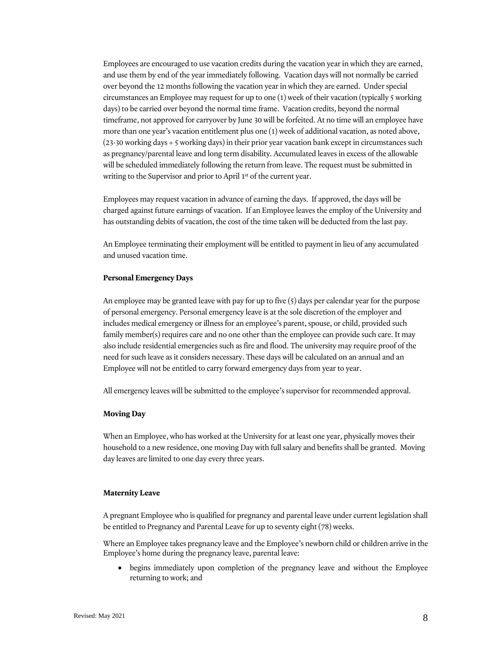Employees are encouraged to use vacation credits during the vacation year in which they are earned, and use them by end of the year immediately following. Vacation days will not normally be carried over beyond the 12 months following the vacation year in which they are earned. Under special circumstances an Employee may request for up to one (1) week of their vacation (typically 5 working days) to be carried over beyond the normal time frame. Vacation credits, beyond the normal timeframe, not approved for carryover by June 30 will be forfeited. At no time will an employee have more than one year's vacation entitlement plus one (1) week of additional vacation, as noted above,  $(23-30$  working days  $+ 5$  working days) in their prior year vacation bank except in circumstances such as pregnancy/parental leave and long term disability. Accumulated leaves in excess of the allowable will be scheduled immediately following the return from leave. The request must be submitted in writing to the Supervisor and prior to April 1<sup>st</sup> of the current year.

Employees may request vacation in advance of earning the days. If approved, the days will be charged against future earnings of vacation. If an Employee leaves the employ of the University and has outstanding debits of vacation, the cost of the time taken will be deducted from the last pay.

An Employee terminating their employment will be entitled to payment in lieu of any accumulated and unused vacation time.

#### <span id="page-8-0"></span>**Personal Emergency Days**

An employee may be granted leave with pay for up to five  $(5)$  days per calendar year for the purpose of personal emergency. Personal emergency leave is at the sole discretion of the employer and includes medical emergency or illness for an employee's parent, spouse, or child, provided such family member(s) requires care and no one other than the employee can provide such care. It may also include residential emergencies such as fire and flood. The university may require proof of the need for such leave as it considers necessary. These days will be calculated on an annual and an Employee will not be entitled to carry forward emergency days from year to year.

All emergency leaves will be submitted to the employee's supervisor for recommended approval.

## <span id="page-8-1"></span>**Moving Day**

When an Employee, who has worked at the University for at least one year, physically moves their household to a new residence, one moving Day with full salary and benefits shall be granted. Moving day leaves are limited to one day every three years.

#### <span id="page-8-2"></span>**Maternity Leave**

A pregnant Employee who is qualified for pregnancy and parental leave under current legislation shall be entitled to Pregnancy and Parental Leave for up to seventy eight (78) weeks.

Where an Employee takes pregnancy leave and the Employee's newborn child or children arrive in the Employee's home during the pregnancy leave, parental leave:

• begins immediately upon completion of the pregnancy leave and without the Employee returning to work; and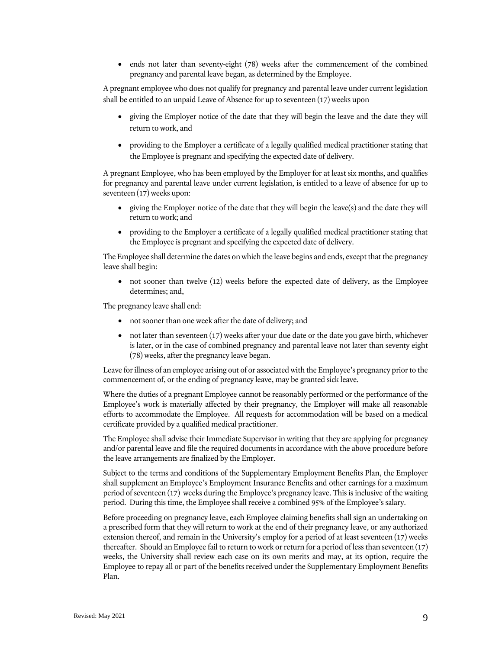• ends not later than seventy-eight (78) weeks after the commencement of the combined pregnancy and parental leave began, as determined by the Employee.

A pregnant employee who does not qualify for pregnancy and parental leave under current legislation shall be entitled to an unpaid Leave of Absence for up to seventeen (17) weeks upon

- giving the Employer notice of the date that they will begin the leave and the date they will return to work, and
- providing to the Employer a certificate of a legally qualified medical practitioner stating that the Employee is pregnant and specifying the expected date of delivery.

A pregnant Employee, who has been employed by the Employer for at least six months, and qualifies for pregnancy and parental leave under current legislation, is entitled to a leave of absence for up to seventeen (17) weeks upon:

- giving the Employer notice of the date that they will begin the leave(s) and the date they will return to work; and
- providing to the Employer a certificate of a legally qualified medical practitioner stating that the Employee is pregnant and specifying the expected date of delivery.

The Employee shall determine the dates on which the leave begins and ends, except that the pregnancy leave shall begin:

• not sooner than twelve (12) weeks before the expected date of delivery, as the Employee determines; and,

The pregnancy leave shall end:

- not sooner than one week after the date of delivery; and
- $\bullet$  not later than seventeen (17) weeks after your due date or the date you gave birth, whichever is later, or in the case of combined pregnancy and parental leave not later than seventy eight (78) weeks, after the pregnancy leave began.

Leave for illness of an employee arising out of or associated with the Employee's pregnancy prior to the commencement of, or the ending of pregnancy leave, may be granted sick leave.

Where the duties of a pregnant Employee cannot be reasonably performed or the performance of the Employee's work is materially affected by their pregnancy, the Employer will make all reasonable efforts to accommodate the Employee. All requests for accommodation will be based on a medical certificate provided by a qualified medical practitioner.

The Employee shall advise their Immediate Supervisor in writing that they are applying for pregnancy and/or parental leave and file the required documents in accordance with the above procedure before the leave arrangements are finalized by the Employer.

Subject to the terms and conditions of the Supplementary Employment Benefits Plan, the Employer shall supplement an Employee's Employment Insurance Benefits and other earnings for a maximum period of seventeen (17) weeks during the Employee's pregnancy leave. This is inclusive of the waiting period. During this time, the Employee shall receive a combined 95% of the Employee's salary.

Before proceeding on pregnancy leave, each Employee claiming benefits shall sign an undertaking on a prescribed form that they will return to work at the end of their pregnancy leave, or any authorized extension thereof, and remain in the University's employ for a period of at least seventeen (17) weeks thereafter. Should an Employee fail to return to work or return for a period of less than seventeen (17) weeks, the University shall review each case on its own merits and may, at its option, require the Employee to repay all or part of the benefits received under the Supplementary Employment Benefits Plan.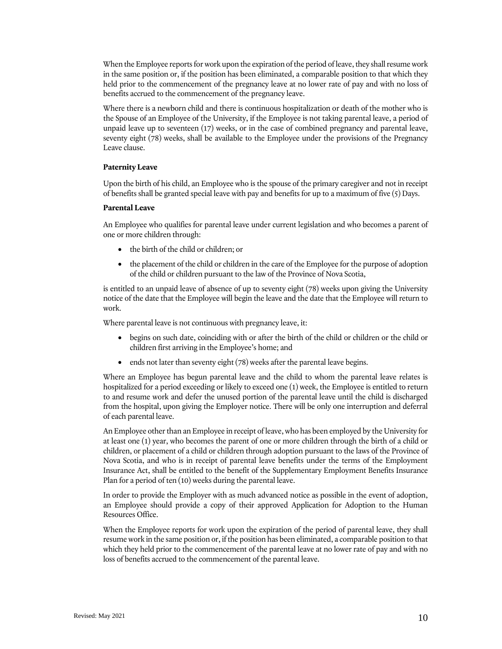When the Employee reports for work upon the expiration of the period of leave, they shall resume work in the same position or, if the position has been eliminated, a comparable position to that which they held prior to the commencement of the pregnancy leave at no lower rate of pay and with no loss of benefits accrued to the commencement of the pregnancy leave.

Where there is a newborn child and there is continuous hospitalization or death of the mother who is the Spouse of an Employee of the University, if the Employee is not taking parental leave, a period of unpaid leave up to seventeen (17) weeks, or in the case of combined pregnancy and parental leave, seventy eight (78) weeks, shall be available to the Employee under the provisions of the Pregnancy Leave clause.

## <span id="page-10-0"></span>**Paternity Leave**

Upon the birth of his child, an Employee who is the spouse of the primary caregiver and not in receipt of benefits shall be granted special leave with pay and benefits for up to a maximum of five (5) Days.

#### <span id="page-10-1"></span>**Parental Leave**

An Employee who qualifies for parental leave under current legislation and who becomes a parent of one or more children through:

- the birth of the child or children; or
- the placement of the child or children in the care of the Employee for the purpose of adoption of the child or children pursuant to the law of the Province of Nova Scotia,

is entitled to an unpaid leave of absence of up to seventy eight (78) weeks upon giving the University notice of the date that the Employee will begin the leave and the date that the Employee will return to work.

Where parental leave is not continuous with pregnancy leave, it:

- begins on such date, coinciding with or after the birth of the child or children or the child or children first arriving in the Employee's home; and
- ends not later than seventy eight (78) weeks after the parental leave begins.

Where an Employee has begun parental leave and the child to whom the parental leave relates is hospitalized for a period exceeding or likely to exceed one (1) week, the Employee is entitled to return to and resume work and defer the unused portion of the parental leave until the child is discharged from the hospital, upon giving the Employer notice. There will be only one interruption and deferral of each parental leave.

An Employee other than an Employee in receipt of leave, who has been employed by the University for at least one (1) year, who becomes the parent of one or more children through the birth of a child or children, or placement of a child or children through adoption pursuant to the laws of the Province of Nova Scotia, and who is in receipt of parental leave benefits under the terms of the Employment Insurance Act, shall be entitled to the benefit of the Supplementary Employment Benefits Insurance Plan for a period of ten (10) weeks during the parental leave.

In order to provide the Employer with as much advanced notice as possible in the event of adoption, an Employee should provide a copy of their approved Application for Adoption to the Human Resources Office.

When the Employee reports for work upon the expiration of the period of parental leave, they shall resume work in the same position or, if the position has been eliminated, a comparable position to that which they held prior to the commencement of the parental leave at no lower rate of pay and with no loss of benefits accrued to the commencement of the parental leave.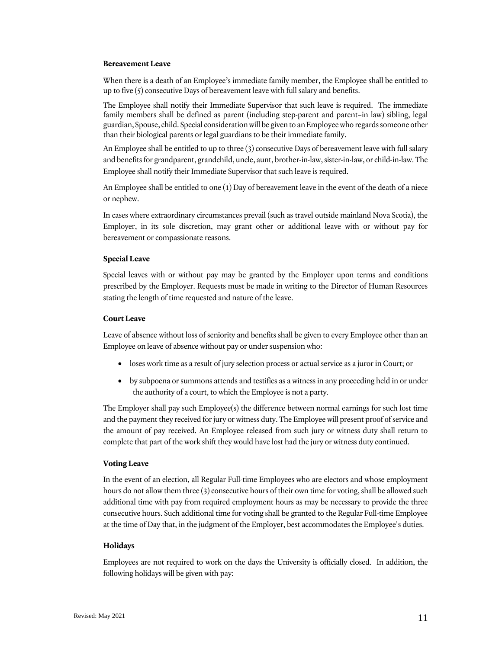#### <span id="page-11-0"></span>**Bereavement Leave**

When there is a death of an Employee's immediate family member, the Employee shall be entitled to up to five (5) consecutive Days of bereavement leave with full salary and benefits.

The Employee shall notify their Immediate Supervisor that such leave is required. The immediate family members shall be defined as parent (including step-parent and parent–in law) sibling, legal guardian, Spouse, child. Special consideration will be given to an Employee who regards someone other than their biological parents or legal guardians to be their immediate family.

An Employee shall be entitled to up to three (3) consecutive Days of bereavement leave with full salary and benefits for grandparent, grandchild, uncle, aunt, brother-in-law, sister-in-law, or child-in-law. The Employee shall notify their Immediate Supervisor that such leave is required.

An Employee shall be entitled to one (1) Day of bereavement leave in the event of the death of a niece or nephew.

In cases where extraordinary circumstances prevail (such as travel outside mainland Nova Scotia), the Employer, in its sole discretion, may grant other or additional leave with or without pay for bereavement or compassionate reasons.

#### <span id="page-11-1"></span>**Special Leave**

Special leaves with or without pay may be granted by the Employer upon terms and conditions prescribed by the Employer. Requests must be made in writing to the Director of Human Resources stating the length of time requested and nature of the leave.

#### <span id="page-11-2"></span>**Court Leave**

Leave of absence without loss of seniority and benefits shall be given to every Employee other than an Employee on leave of absence without pay or under suspension who:

- loses work time as a result of jury selection process or actual service as a juror in Court; or
- by subpoena or summons attends and testifies as a witness in any proceeding held in or under the authority of a court, to which the Employee is not a party.

The Employer shall pay such Employee(s) the difference between normal earnings for such lost time and the payment they received for jury or witness duty. The Employee will present proof of service and the amount of pay received. An Employee released from such jury or witness duty shall return to complete that part of the work shift they would have lost had the jury or witness duty continued.

#### <span id="page-11-3"></span>**Voting Leave**

In the event of an election, all Regular Full-time Employees who are electors and whose employment hours do not allow them three (3) consecutive hours of their own time for voting, shall be allowed such additional time with pay from required employment hours as may be necessary to provide the three consecutive hours. Such additional time for voting shall be granted to the Regular Full-time Employee at the time of Day that, in the judgment of the Employer, best accommodates the Employee's duties.

#### <span id="page-11-4"></span>**Holidays**

Employees are not required to work on the days the University is officially closed. In addition, the following holidays will be given with pay: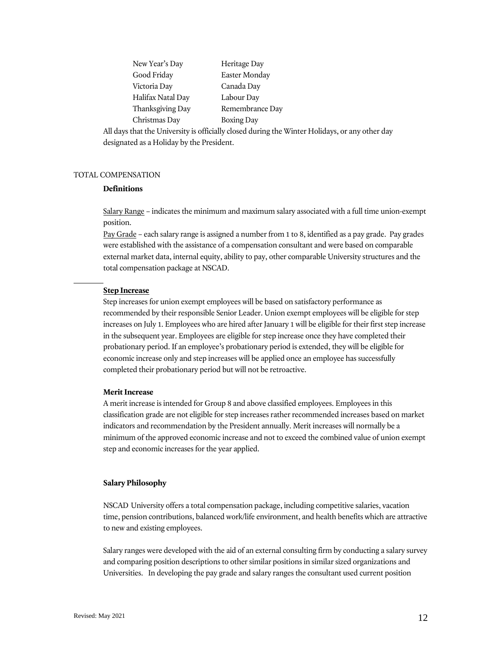| New Year's Day    | Heritage Day      |
|-------------------|-------------------|
| Good Friday       | Easter Monday     |
| Victoria Day      | Canada Day        |
| Halifax Natal Day | Labour Day        |
| Thanksgiving Day  | Remembrance Day   |
| Christmas Day     | <b>Boxing Day</b> |
|                   |                   |

All days that the University is officially closed during the Winter Holidays, or any other day designated as a Holiday by the President.

## <span id="page-12-0"></span>TOTAL COMPENSATION

## <span id="page-12-1"></span>**Definitions**

Salary Range – indicates the minimum and maximum salary associated with a full time union-exempt position.

Pay Grade – each salary range is assigned a number from 1 to 8, identified as a pay grade. Pay grades were established with the assistance of a compensation consultant and were based on comparable external market data, internal equity, ability to pay, other comparable University structures and the total compensation package at NSCAD.

#### **Step Increase**

Step increases for union exempt employees will be based on satisfactory performance as recommended by their responsible Senior Leader. Union exempt employees will be eligible for step increases on July 1. Employees who are hired after January 1 will be eligible for their first step increase in the subsequent year. Employees are eligible for step increase once they have completed their probationary period. If an employee's probationary period is extended, they will be eligible for economic increase only and step increases will be applied once an employee has successfully completed their probationary period but will not be retroactive.

## **Merit Increase**

A merit increase is intended for Group 8 and above classified employees. Employees in this classification grade are not eligible for step increases rather recommended increases based on market indicators and recommendation by the President annually. Merit increases will normally be a minimum of the approved economic increase and not to exceed the combined value of union exempt step and economic increases for the year applied.

## <span id="page-12-2"></span>**Salary Philosophy**

NSCAD University offers a total compensation package, including competitive salaries, vacation time, pension contributions, balanced work/life environment, and health benefits which are attractive to new and existing employees.

Salary ranges were developed with the aid of an external consulting firm by conducting a salary survey and comparing position descriptions to other similar positions in similar sized organizations and Universities. In developing the pay grade and salary ranges the consultant used current position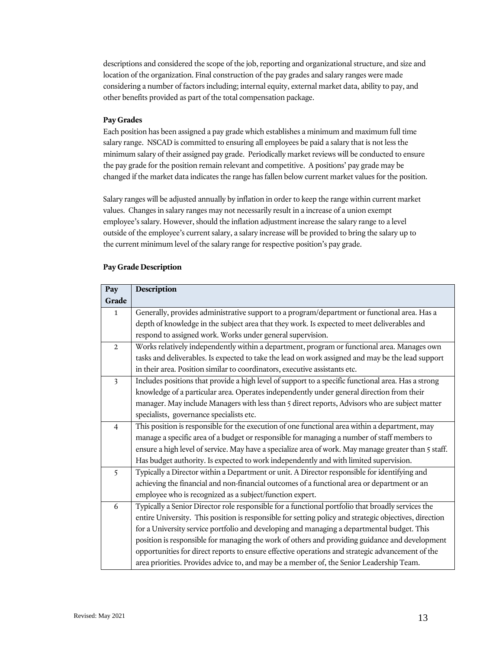descriptions and considered the scope of the job, reporting and organizational structure, and size and location of the organization. Final construction of the pay grades and salary ranges were made considering a number of factors including; internal equity, external market data, ability to pay, and other benefits provided as part of the total compensation package.

## **Pay Grades**

Each position has been assigned a pay grade which establishes a minimum and maximum full time salary range. NSCAD is committed to ensuring all employees be paid a salary that is not less the minimum salary of their assigned pay grade. Periodically market reviews will be conducted to ensure the pay grade for the position remain relevant and competitive. A positions' pay grade may be changed if the market data indicates the range has fallen below current market values for the position.

Salary ranges will be adjusted annually by inflation in order to keep the range within current market values. Changes in salary ranges may not necessarily result in a increase of a union exempt employee's salary. However, should the inflation adjustment increase the salary range to a level outside of the employee's current salary, a salary increase will be provided to bring the salary up to the current minimum level of the salary range for respective position's pay grade.

| Pay                     | Description                                                                                            |  |  |  |  |  |  |  |
|-------------------------|--------------------------------------------------------------------------------------------------------|--|--|--|--|--|--|--|
| Grade                   |                                                                                                        |  |  |  |  |  |  |  |
| $\mathbf{1}$            | Generally, provides administrative support to a program/department or functional area. Has a           |  |  |  |  |  |  |  |
|                         | depth of knowledge in the subject area that they work. Is expected to meet deliverables and            |  |  |  |  |  |  |  |
|                         | respond to assigned work. Works under general supervision.                                             |  |  |  |  |  |  |  |
| $\overline{2}$          | Works relatively independently within a department, program or functional area. Manages own            |  |  |  |  |  |  |  |
|                         | tasks and deliverables. Is expected to take the lead on work assigned and may be the lead support      |  |  |  |  |  |  |  |
|                         | in their area. Position similar to coordinators, executive assistants etc.                             |  |  |  |  |  |  |  |
| $\overline{\mathbf{3}}$ | Includes positions that provide a high level of support to a specific functional area. Has a strong    |  |  |  |  |  |  |  |
|                         | knowledge of a particular area. Operates independently under general direction from their              |  |  |  |  |  |  |  |
|                         | manager. May include Managers with less than 5 direct reports, Advisors who are subject matter         |  |  |  |  |  |  |  |
|                         | specialists, governance specialists etc.                                                               |  |  |  |  |  |  |  |
| $\overline{4}$          | This position is responsible for the execution of one functional area within a department, may         |  |  |  |  |  |  |  |
|                         | manage a specific area of a budget or responsible for managing a number of staff members to            |  |  |  |  |  |  |  |
|                         | ensure a high level of service. May have a specialize area of work. May manage greater than 5 staff.   |  |  |  |  |  |  |  |
|                         | Has budget authority. Is expected to work independently and with limited supervision.                  |  |  |  |  |  |  |  |
| 5                       | Typically a Director within a Department or unit. A Director responsible for identifying and           |  |  |  |  |  |  |  |
|                         | achieving the financial and non-financial outcomes of a functional area or department or an            |  |  |  |  |  |  |  |
|                         | employee who is recognized as a subject/function expert.                                               |  |  |  |  |  |  |  |
| 6                       | Typically a Senior Director role responsible for a functional portfolio that broadly services the      |  |  |  |  |  |  |  |
|                         | entire University. This position is responsible for setting policy and strategic objectives, direction |  |  |  |  |  |  |  |
|                         | for a University service portfolio and developing and managing a departmental budget. This             |  |  |  |  |  |  |  |
|                         | position is responsible for managing the work of others and providing guidance and development         |  |  |  |  |  |  |  |
|                         | opportunities for direct reports to ensure effective operations and strategic advancement of the       |  |  |  |  |  |  |  |
|                         | area priorities. Provides advice to, and may be a member of, the Senior Leadership Team.               |  |  |  |  |  |  |  |

## <span id="page-13-0"></span>**Pay Grade Description**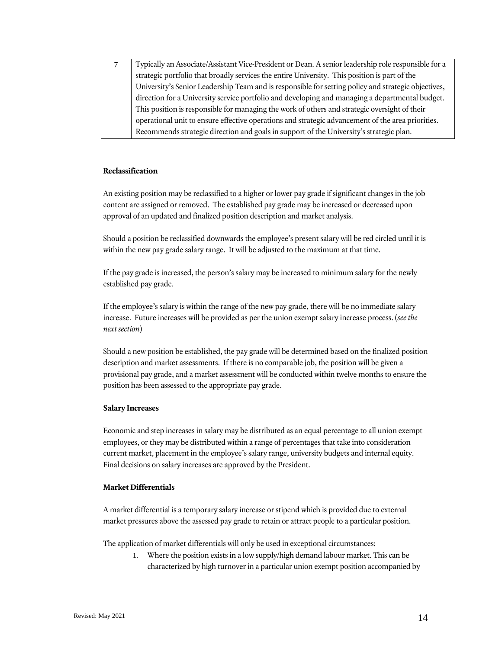| Typically an Associate/Assistant Vice-President or Dean. A senior leadership role responsible for a |
|-----------------------------------------------------------------------------------------------------|
| strategic portfolio that broadly services the entire University. This position is part of the       |
| University's Senior Leadership Team and is responsible for setting policy and strategic objectives, |
| direction for a University service portfolio and developing and managing a departmental budget.     |
| This position is responsible for managing the work of others and strategic oversight of their       |
| operational unit to ensure effective operations and strategic advancement of the area priorities.   |
| Recommends strategic direction and goals in support of the University's strategic plan.             |

## <span id="page-14-0"></span>**Reclassification**

An existing position may be reclassified to a higher or lower pay grade if significant changes in the job content are assigned or removed. The established pay grade may be increased or decreased upon approval of an updated and finalized position description and market analysis.

Should a position be reclassified downwards the employee's present salary will be red circled until it is within the new pay grade salary range. It will be adjusted to the maximum at that time.

If the pay grade is increased, the person's salary may be increased to minimum salary for the newly established pay grade.

If the employee's salary is within the range of the new pay grade, there will be no immediate salary increase. Future increases will be provided as per the union exempt salary increase process. (*see the next section*)

Should a new position be established, the pay grade will be determined based on the finalized position description and market assessments. If there is no comparable job, the position will be given a provisional pay grade, and a market assessment will be conducted within twelve months to ensure the position has been assessed to the appropriate pay grade.

## <span id="page-14-1"></span>**Salary Increases**

Economic and step increases in salary may be distributed as an equal percentage to all union exempt employees, or they may be distributed within a range of percentages that take into consideration current market, placement in the employee's salary range, university budgets and internal equity. Final decisions on salary increases are approved by the President.

## <span id="page-14-2"></span>**Market Differentials**

A market differential is a temporary salary increase or stipend which is provided due to external market pressures above the assessed pay grade to retain or attract people to a particular position.

The application of market differentials will only be used in exceptional circumstances:

1. Where the position exists in a low supply/high demand labour market. This can be characterized by high turnover in a particular union exempt position accompanied by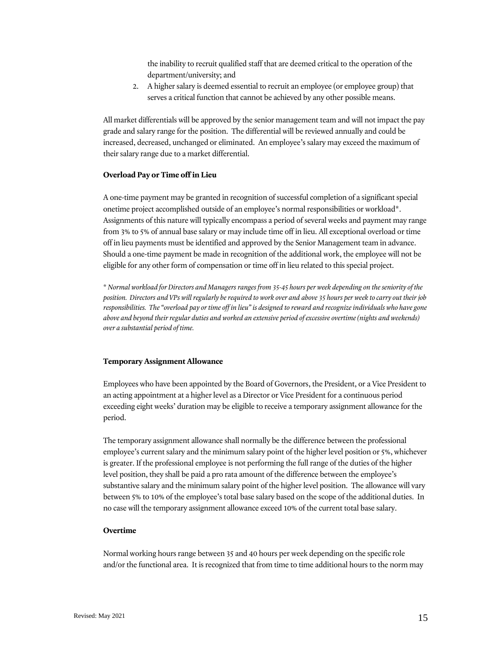the inability to recruit qualified staff that are deemed critical to the operation of the department/university; and

2. A higher salary is deemed essential to recruit an employee (or employee group) that serves a critical function that cannot be achieved by any other possible means.

All market differentials will be approved by the senior management team and will not impact the pay grade and salary range for the position. The differential will be reviewed annually and could be increased, decreased, unchanged or eliminated. An employee's salary may exceed the maximum of their salary range due to a market differential.

## <span id="page-15-0"></span>**Overload Pay or Time off in Lieu**

A one-time payment may be granted in recognition of successful completion of a significant special onetime project accomplished outside of an employee's normal responsibilities or workload\*. Assignments of this nature will typically encompass a period of several weeks and payment may range from 3% to 5% of annual base salary or may include time off in lieu. All exceptional overload or time off in lieu payments must be identified and approved by the Senior Management team in advance. Should a one-time payment be made in recognition of the additional work, the employee will not be eligible for any other form of compensation or time off in lieu related to this special project.

\* *Normal workload for Directors and Managers ranges from 35-45 hours per week depending on the seniority of the position. Directors and VPs will regularly be required to work over and above 35 hours per week to carry out their job*  responsibilities. The "overload pay or time off in lieu" is designed to reward and recognize individuals who have gone *above and beyond their regular duties and worked an extensive period of excessive overtime (nights and weekends) over a substantial period of time.* 

#### <span id="page-15-1"></span>**Temporary Assignment Allowance**

Employees who have been appointed by the Board of Governors, the President, or a Vice President to an acting appointment at a higher level as a Director or Vice President for a continuous period exceeding eight weeks' duration may be eligible to receive a temporary assignment allowance for the period.

The temporary assignment allowance shall normally be the difference between the professional employee's current salary and the minimum salary point of the higher level position or 5%, whichever is greater. If the professional employee is not performing the full range of the duties of the higher level position, they shall be paid a pro rata amount of the difference between the employee's substantive salary and the minimum salary point of the higher level position. The allowance will vary between 5% to 10% of the employee's total base salary based on the scope of the additional duties. In no case will the temporary assignment allowance exceed 10% of the current total base salary.

#### <span id="page-15-2"></span>**Overtime**

Normal working hours range between 35 and 40 hours per week depending on the specific role and/or the functional area. It is recognized that from time to time additional hours to the norm may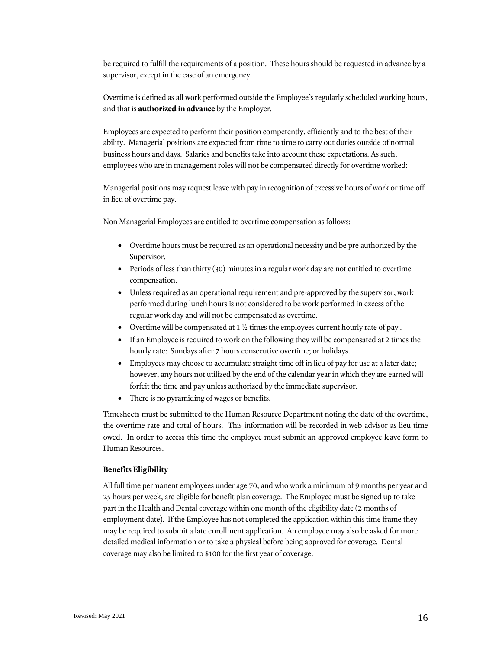be required to fulfill the requirements of a position. These hours should be requested in advance by a supervisor, except in the case of an emergency.

Overtime is defined as all work performed outside the Employee's regularly scheduled working hours, and that is **authorized in advance** by the Employer.

Employees are expected to perform their position competently, efficiently and to the best of their ability. Managerial positions are expected from time to time to carry out duties outside of normal business hours and days. Salaries and benefits take into account these expectations. As such, employees who are in management roles will not be compensated directly for overtime worked:

Managerial positions may request leave with pay in recognition of excessive hours of work or time off in lieu of overtime pay.

Non Managerial Employees are entitled to overtime compensation as follows:

- Overtime hours must be required as an operational necessity and be pre authorized by the Supervisor.
- Periods of less than thirty (30) minutes in a regular work day are not entitled to overtime compensation.
- Unless required as an operational requirement and pre-approved by the supervisor, work performed during lunch hours is not considered to be work performed in excess of the regular work day and will not be compensated as overtime.
- Overtime will be compensated at  $1 \frac{1}{2}$  times the employees current hourly rate of pay.
- If an Employee is required to work on the following they will be compensated at 2 times the hourly rate: Sundays after 7 hours consecutive overtime; or holidays.
- Employees may choose to accumulate straight time off in lieu of pay for use at a later date; however, any hours not utilized by the end of the calendar year in which they are earned will forfeit the time and pay unless authorized by the immediate supervisor.
- There is no pyramiding of wages or benefits.

Timesheets must be submitted to the Human Resource Department noting the date of the overtime, the overtime rate and total of hours. This information will be recorded in web advisor as lieu time owed. In order to access this time the employee must submit an approved employee leave form to Human Resources.

#### <span id="page-16-0"></span>**Benefits Eligibility**

All full time permanent employees under age 70, and who work a minimum of 9 months per year and 25 hours per week, are eligible for benefit plan coverage. The Employee must be signed up to take part in the Health and Dental coverage within one month of the eligibility date (2 months of employment date). If the Employee has not completed the application within this time frame they may be required to submit a late enrollment application. An employee may also be asked for more detailed medical information or to take a physical before being approved for coverage. Dental coverage may also be limited to \$100 for the first year of coverage.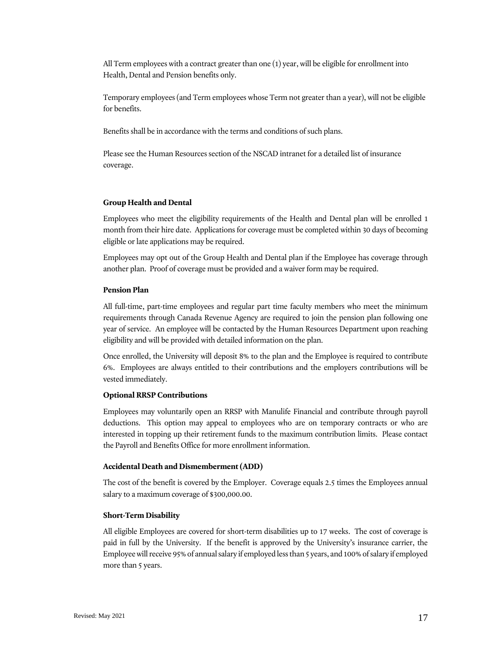All Term employees with a contract greater than one (1) year, will be eligible for enrollment into Health, Dental and Pension benefits only.

Temporary employees (and Term employees whose Term not greater than a year), will not be eligible for benefits.

Benefits shall be in accordance with the terms and conditions of such plans.

Please see the Human Resources section of the NSCAD intranet for a detailed list of insurance coverage.

## <span id="page-17-0"></span>**Group Health and Dental**

Employees who meet the eligibility requirements of the Health and Dental plan will be enrolled 1 month from their hire date. Applications for coverage must be completed within 30 days of becoming eligible or late applications may be required.

Employees may opt out of the Group Health and Dental plan if the Employee has coverage through another plan. Proof of coverage must be provided and a waiver form may be required.

#### <span id="page-17-1"></span>**Pension Plan**

All full-time, part-time employees and regular part time faculty members who meet the minimum requirements through Canada Revenue Agency are required to join the pension plan following one year of service. An employee will be contacted by the Human Resources Department upon reaching eligibility and will be provided with detailed information on the plan.

Once enrolled, the University will deposit 8% to the plan and the Employee is required to contribute 6%. Employees are always entitled to their contributions and the employers contributions will be vested immediately.

#### <span id="page-17-2"></span>**Optional RRSP Contributions**

Employees may voluntarily open an RRSP with Manulife Financial and contribute through payroll deductions. This option may appeal to employees who are on temporary contracts or who are interested in topping up their retirement funds to the maximum contribution limits. Please contact the Payroll and Benefits Office for more enrollment information.

#### <span id="page-17-3"></span>**Accidental Death and Dismemberment (ADD)**

The cost of the benefit is covered by the Employer. Coverage equals 2.5 times the Employees annual salary to a maximum coverage of \$300,000.00.

#### <span id="page-17-4"></span>**Short-Term Disability**

All eligible Employees are covered for short-term disabilities up to 17 weeks. The cost of coverage is paid in full by the University. If the benefit is approved by the University's insurance carrier, the Employee will receive 95% of annual salary if employed less than 5 years, and 100% of salary if employed more than 5 years.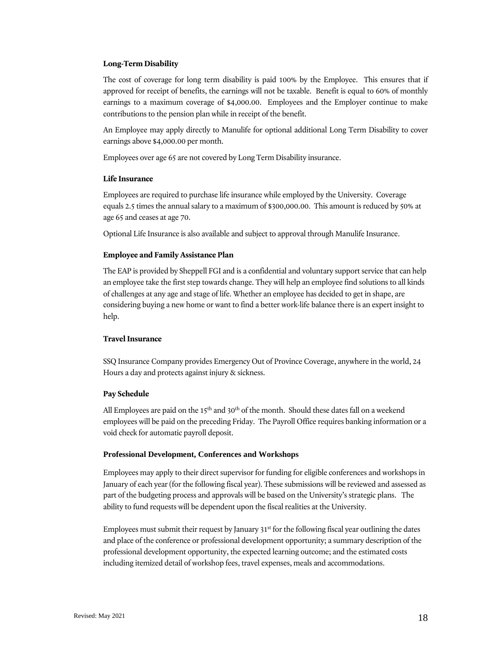## <span id="page-18-0"></span>**Long-Term Disability**

The cost of coverage for long term disability is paid 100% by the Employee. This ensures that if approved for receipt of benefits, the earnings will not be taxable. Benefit is equal to 60% of monthly earnings to a maximum coverage of \$4,000.00. Employees and the Employer continue to make contributions to the pension plan while in receipt of the benefit.

An Employee may apply directly to Manulife for optional additional Long Term Disability to cover earnings above \$4,000.00 per month.

Employees over age 65 are not covered by Long Term Disability insurance.

## <span id="page-18-1"></span>**Life Insurance**

Employees are required to purchase life insurance while employed by the University. Coverage equals 2.5 times the annual salary to a maximum of \$300,000.00. This amount is reduced by 50% at age 65 and ceases at age 70.

Optional Life Insurance is also available and subject to approval through Manulife Insurance.

## <span id="page-18-2"></span>**Employee and Family Assistance Plan**

The EAP is provided by Sheppell FGI and is a confidential and voluntary support service that can help an employee take the first step towards change. They will help an employee find solutions to all kinds of challenges at any age and stage of life. Whether an employee has decided to get in shape, are considering buying a new home or want to find a better work-life balance there is an expert insight to help.

#### <span id="page-18-3"></span>**Travel Insurance**

SSQ Insurance Company provides Emergency Out of Province Coverage, anywhere in the world, 24 Hours a day and protects against injury & sickness.

#### <span id="page-18-4"></span>**Pay Schedule**

All Employees are paid on the 15<sup>th</sup> and 30<sup>th</sup> of the month. Should these dates fall on a weekend employees will be paid on the preceding Friday. The Payroll Office requires banking information or a void check for automatic payroll deposit.

#### <span id="page-18-5"></span>**Professional Development, Conferences and Workshops**

Employees may apply to their direct supervisor for funding for eligible conferences and workshops in January of each year (for the following fiscal year). These submissions will be reviewed and assessed as part of the budgeting process and approvals will be based on the University's strategic plans. The ability to fund requests will be dependent upon the fiscal realities at the University.

Employees must submit their request by January  $31^{st}$  for the following fiscal year outlining the dates and place of the conference or professional development opportunity; a summary description of the professional development opportunity, the expected learning outcome; and the estimated costs including itemized detail of workshop fees, travel expenses, meals and accommodations.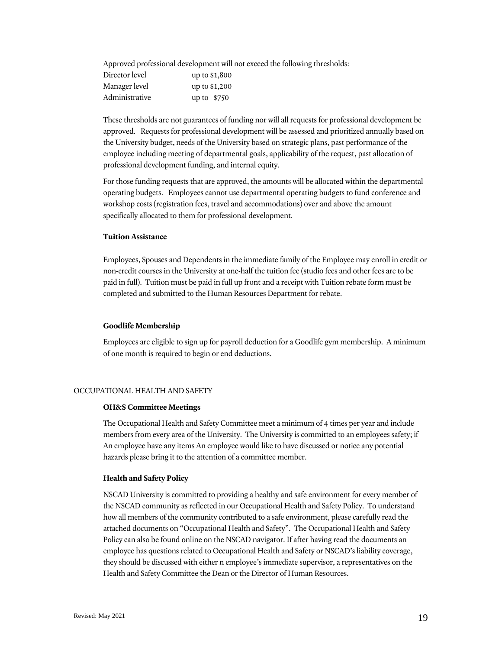Approved professional development will not exceed the following thresholds:

| Director level | up to \$1,800 |
|----------------|---------------|
| Manager level  | up to \$1,200 |
| Administrative | up to $$750$  |

These thresholds are not guarantees of funding nor will all requests for professional development be approved. Requests for professional development will be assessed and prioritized annually based on the University budget, needs of the University based on strategic plans, past performance of the employee including meeting of departmental goals, applicability of the request, past allocation of professional development funding, and internal equity.

For those funding requests that are approved, the amounts will be allocated within the departmental operating budgets. Employees cannot use departmental operating budgets to fund conference and workshop costs (registration fees, travel and accommodations) over and above the amount specifically allocated to them for professional development.

## <span id="page-19-0"></span>**Tuition Assistance**

Employees, Spouses and Dependents in the immediate family of the Employee may enroll in credit or non-credit courses in the University at one-half the tuition fee (studio fees and other fees are to be paid in full). Tuition must be paid in full up front and a receipt with Tuition rebate form must be completed and submitted to the Human Resources Department for rebate.

## <span id="page-19-1"></span>**Goodlife Membership**

Employees are eligible to sign up for payroll deduction for a Goodlife gym membership. A minimum of one month is required to begin or end deductions.

## <span id="page-19-2"></span>OCCUPATIONAL HEALTH AND SAFETY

#### <span id="page-19-3"></span>**OH&S Committee Meetings**

The Occupational Health and Safety Committee meet a minimum of 4 times per year and include members from every area of the University. The University is committed to an employees safety; if An employee have any items An employee would like to have discussed or notice any potential hazards please bring it to the attention of a committee member.

## <span id="page-19-4"></span>**Health and Safety Policy**

NSCAD University is committed to providing a healthy and safe environment for every member of the NSCAD community as reflected in our Occupational Health and Safety Policy. To understand how all members of the community contributed to a safe environment, please carefully read the attached documents on "Occupational Health and Safety". The Occupational Health and Safety Policy can also be found online on the NSCAD navigator. If after having read the documents an employee has questions related to Occupational Health and Safety or NSCAD's liability coverage, they should be discussed with either n employee's immediate supervisor, a representatives on the Health and Safety Committee the Dean or the Director of Human Resources.